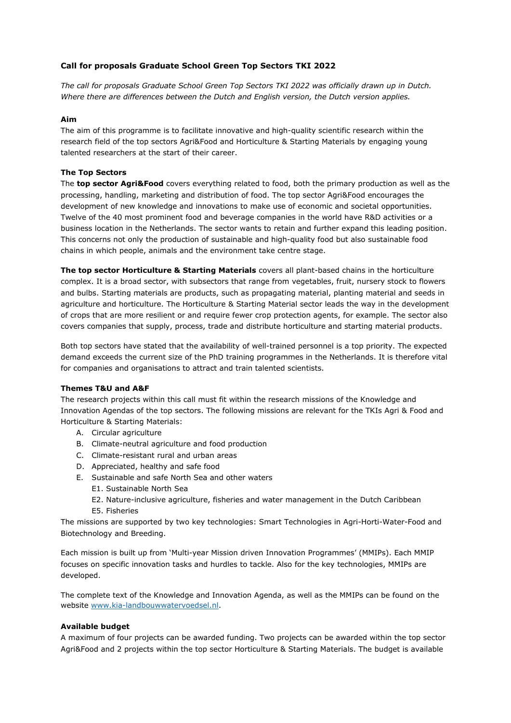# **Call for proposals Graduate School Green Top Sectors TKI 2022**

*The call for proposals Graduate School Green Top Sectors TKI 2022 was officially drawn up in Dutch. Where there are differences between the Dutch and English version, the Dutch version applies.*

### **Aim**

The aim of this programme is to facilitate innovative and high-quality scientific research within the research field of the top sectors Agri&Food and Horticulture & Starting Materials by engaging young talented researchers at the start of their career.

### **The Top Sectors**

The **top sector Agri&Food** covers everything related to food, both the primary production as well as the processing, handling, marketing and distribution of food. The top sector Agri&Food encourages the development of new knowledge and innovations to make use of economic and societal opportunities. Twelve of the 40 most prominent food and beverage companies in the world have R&D activities or a business location in the Netherlands. The sector wants to retain and further expand this leading position. This concerns not only the production of sustainable and high-quality food but also sustainable food chains in which people, animals and the environment take centre stage.

**The top sector Horticulture & Starting Materials** covers all plant-based chains in the horticulture complex. It is a broad sector, with subsectors that range from vegetables, fruit, nursery stock to flowers and bulbs. Starting materials are products, such as propagating material, planting material and seeds in agriculture and horticulture. The Horticulture & Starting Material sector leads the way in the development of crops that are more resilient or and require fewer crop protection agents, for example. The sector also covers companies that supply, process, trade and distribute horticulture and starting material products.

Both top sectors have stated that the availability of well-trained personnel is a top priority. The expected demand exceeds the current size of the PhD training programmes in the Netherlands. It is therefore vital for companies and organisations to attract and train talented scientists.

## **Themes T&U and A&F**

The research projects within this call must fit within the research missions of the Knowledge and Innovation Agendas of the top sectors. The following missions are relevant for the TKIs Agri & Food and Horticulture & Starting Materials:

- A. Circular agriculture
- B. Climate-neutral agriculture and food production
- C. Climate-resistant rural and urban areas
- D. Appreciated, healthy and safe food
- E. Sustainable and safe North Sea and other waters
	- E1. Sustainable North Sea
	- E2. Nature-inclusive agriculture, fisheries and water management in the Dutch Caribbean
	- E5. Fisheries

The missions are supported by two key technologies: Smart Technologies in Agri-Horti-Water-Food and Biotechnology and Breeding.

Each mission is built up from 'Multi-year Mission driven Innovation Programmes' (MMIPs). Each MMIP focuses on specific innovation tasks and hurdles to tackle. Also for the key technologies, MMIPs are developed.

The complete text of the Knowledge and Innovation Agenda, as well as the MMIPs can be found on the website [www.kia-landbouwwatervoedsel.nl.](http://www.kia-landbouwwatervoedsel.nl/)

## **Available budget**

A maximum of four projects can be awarded funding. Two projects can be awarded within the top sector Agri&Food and 2 projects within the top sector Horticulture & Starting Materials. The budget is available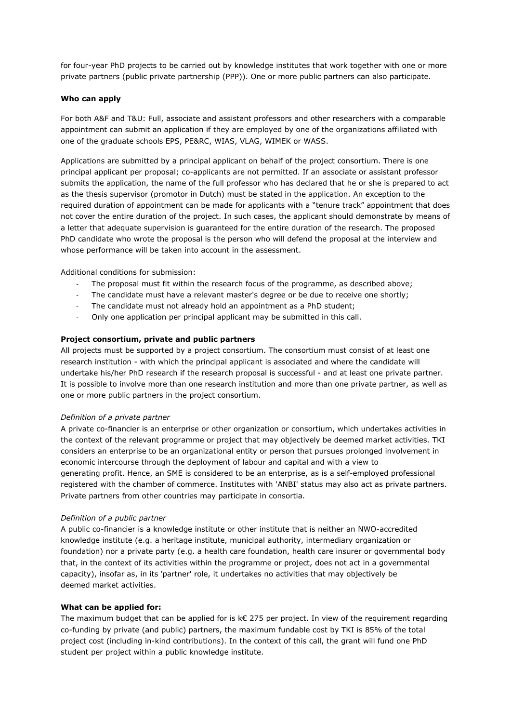for four-year PhD projects to be carried out by knowledge institutes that work together with one or more private partners (public private partnership (PPP)). One or more public partners can also participate.

### **Who can apply**

For both A&F and T&U: Full, associate and assistant professors and other researchers with a comparable appointment can submit an application if they are employed by one of the organizations affiliated with one of the graduate schools EPS, PE&RC, WIAS, VLAG, WIMEK or WASS.

Applications are submitted by a principal applicant on behalf of the project consortium. There is one principal applicant per proposal; co-applicants are not permitted. If an associate or assistant professor submits the application, the name of the full professor who has declared that he or she is prepared to act as the thesis supervisor (promotor in Dutch) must be stated in the application. An exception to the required duration of appointment can be made for applicants with a "tenure track" appointment that does not cover the entire duration of the project. In such cases, the applicant should demonstrate by means of a letter that adequate supervision is guaranteed for the entire duration of the research. The proposed PhD candidate who wrote the proposal is the person who will defend the proposal at the interview and whose performance will be taken into account in the assessment.

Additional conditions for submission:

- The proposal must fit within the research focus of the programme, as described above;
- The candidate must have a relevant master's degree or be due to receive one shortly;
- The candidate must not already hold an appointment as a PhD student;
- Only one application per principal applicant may be submitted in this call.

#### **Project consortium, private and public partners**

All projects must be supported by a project consortium. The consortium must consist of at least one research institution - with which the principal applicant is associated and where the candidate will undertake his/her PhD research if the research proposal is successful - and at least one private partner. It is possible to involve more than one research institution and more than one private partner, as well as one or more public partners in the project consortium.

#### *Definition of a private partner*

A private co-financier is an enterprise or other organization or consortium, which undertakes activities in the context of the relevant programme or project that may objectively be deemed market activities. TKI considers an enterprise to be an organizational entity or person that pursues prolonged involvement in economic intercourse through the deployment of labour and capital and with a view to generating profit. Hence, an SME is considered to be an enterprise, as is a self-employed professional registered with the chamber of commerce. Institutes with 'ANBI' status may also act as private partners. Private partners from other countries may participate in consortia.

#### *Definition of a public partner*

A public co-financier is a knowledge institute or other institute that is neither an NWO-accredited knowledge institute (e.g. a heritage institute, municipal authority, intermediary organization or foundation) nor a private party (e.g. a health care foundation, health care insurer or governmental body that, in the context of its activities within the programme or project, does not act in a governmental capacity), insofar as, in its 'partner' role, it undertakes no activities that may objectively be deemed market activities.

#### **What can be applied for:**

The maximum budget that can be applied for is k€ 275 per project. In view of the requirement regarding co-funding by private (and public) partners, the maximum fundable cost by TKI is 85% of the total project cost (including in-kind contributions). In the context of this call, the grant will fund one PhD student per project within a public knowledge institute.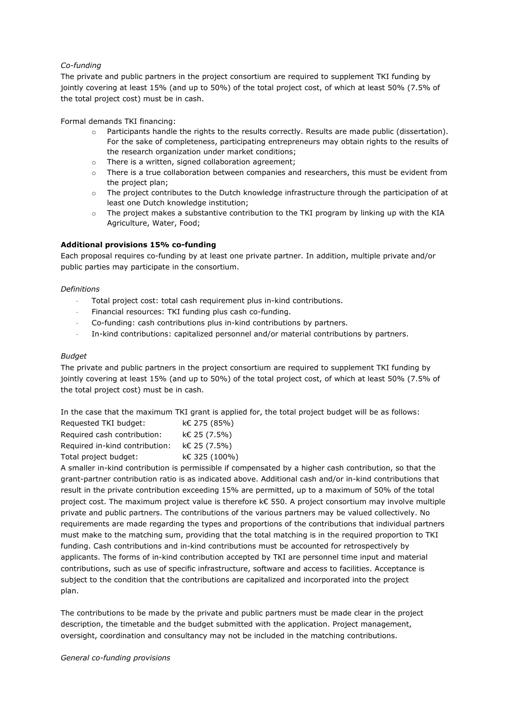# *Co-funding*

The private and public partners in the project consortium are required to supplement TKI funding by jointly covering at least 15% (and up to 50%) of the total project cost, of which at least 50% (7.5% of the total project cost) must be in cash.

Formal demands TKI financing:

- o Participants handle the rights to the results correctly. Results are made public (dissertation). For the sake of completeness, participating entrepreneurs may obtain rights to the results of the research organization under market conditions;
- o There is a written, signed collaboration agreement;
- o There is a true collaboration between companies and researchers, this must be evident from the project plan;
- o The project contributes to the Dutch knowledge infrastructure through the participation of at least one Dutch knowledge institution;
- o The project makes a substantive contribution to the TKI program by linking up with the KIA Agriculture, Water, Food;

## **Additional provisions 15% co-funding**

Each proposal requires co-funding by at least one private partner. In addition, multiple private and/or public parties may participate in the consortium.

### *Definitions*

- Total project cost: total cash requirement plus in-kind contributions.
- Financial resources: TKI funding plus cash co-funding.
- Co-funding: cash contributions plus in-kind contributions by partners.
- In-kind contributions: capitalized personnel and/or material contributions by partners.

### *Budget*

The private and public partners in the project consortium are required to supplement TKI funding by jointly covering at least 15% (and up to 50%) of the total project cost, of which at least 50% (7.5% of the total project cost) must be in cash.

In the case that the maximum TKI grant is applied for, the total project budget will be as follows:

| Requested TKI budget:          | k€ 275 (85%)  |
|--------------------------------|---------------|
| Required cash contribution:    | k€ 25 (7.5%)  |
| Required in-kind contribution: | k€ 25 (7.5%)  |
| Total project budget:          | k€ 325 (100%) |

A smaller in-kind contribution is permissible if compensated by a higher cash contribution, so that the grant-partner contribution ratio is as indicated above. Additional cash and/or in-kind contributions that result in the private contribution exceeding 15% are permitted, up to a maximum of 50% of the total project cost. The maximum project value is therefore k€ 550. A project consortium may involve multiple private and public partners. The contributions of the various partners may be valued collectively. No requirements are made regarding the types and proportions of the contributions that individual partners must make to the matching sum, providing that the total matching is in the required proportion to TKI funding. Cash contributions and in-kind contributions must be accounted for retrospectively by applicants. The forms of in-kind contribution accepted by TKI are personnel time input and material contributions, such as use of specific infrastructure, software and access to facilities. Acceptance is subject to the condition that the contributions are capitalized and incorporated into the project plan.

The contributions to be made by the private and public partners must be made clear in the project description, the timetable and the budget submitted with the application. Project management, oversight, coordination and consultancy may not be included in the matching contributions.

#### *General co-funding provisions*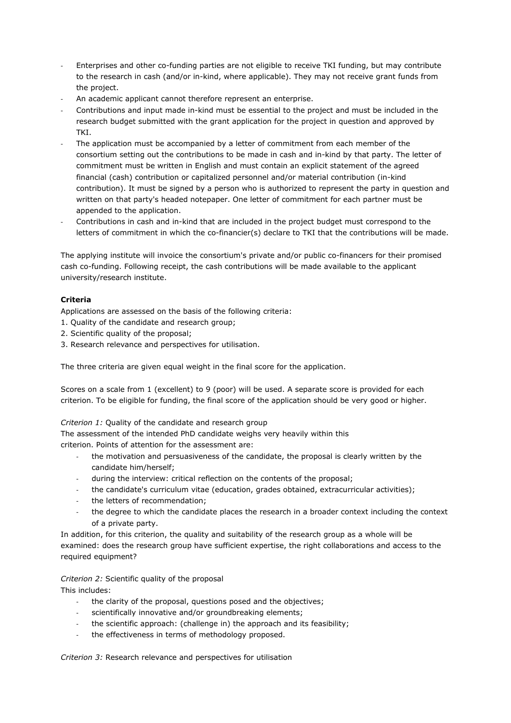- Enterprises and other co-funding parties are not eligible to receive TKI funding, but may contribute to the research in cash (and/or in-kind, where applicable). They may not receive grant funds from the project.
- An academic applicant cannot therefore represent an enterprise.
- Contributions and input made in-kind must be essential to the project and must be included in the research budget submitted with the grant application for the project in question and approved by TKI.
- The application must be accompanied by a letter of commitment from each member of the consortium setting out the contributions to be made in cash and in-kind by that party. The letter of commitment must be written in English and must contain an explicit statement of the agreed financial (cash) contribution or capitalized personnel and/or material contribution (in-kind contribution). It must be signed by a person who is authorized to represent the party in question and written on that party's headed notepaper. One letter of commitment for each partner must be appended to the application.
- Contributions in cash and in-kind that are included in the project budget must correspond to the letters of commitment in which the co-financier(s) declare to TKI that the contributions will be made.

The applying institute will invoice the consortium's private and/or public co-financers for their promised cash co-funding. Following receipt, the cash contributions will be made available to the applicant university/research institute.

# **Criteria**

Applications are assessed on the basis of the following criteria:

- 1. Quality of the candidate and research group;
- 2. Scientific quality of the proposal;
- 3. Research relevance and perspectives for utilisation.

The three criteria are given equal weight in the final score for the application.

Scores on a scale from 1 (excellent) to 9 (poor) will be used. A separate score is provided for each criterion. To be eligible for funding, the final score of the application should be very good or higher.

## *Criterion 1:* Quality of the candidate and research group

The assessment of the intended PhD candidate weighs very heavily within this criterion. Points of attention for the assessment are:

- the motivation and persuasiveness of the candidate, the proposal is clearly written by the candidate him/herself;
- during the interview: critical reflection on the contents of the proposal;
- the candidate's curriculum vitae (education, grades obtained, extracurricular activities);
- the letters of recommendation;
- the degree to which the candidate places the research in a broader context including the context of a private party.

In addition, for this criterion, the quality and suitability of the research group as a whole will be examined: does the research group have sufficient expertise, the right collaborations and access to the required equipment?

*Criterion 2:* Scientific quality of the proposal This includes:

- the clarity of the proposal, questions posed and the objectives;
- scientifically innovative and/or groundbreaking elements;
- the scientific approach: (challenge in) the approach and its feasibility;
- the effectiveness in terms of methodology proposed.

*Criterion 3:* Research relevance and perspectives for utilisation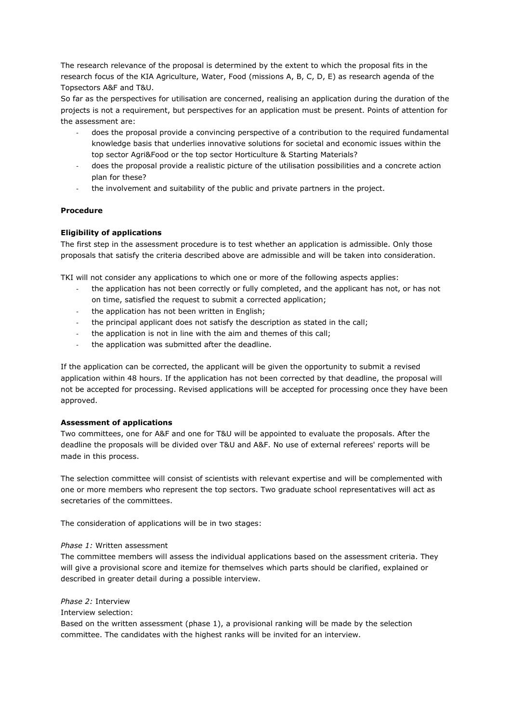The research relevance of the proposal is determined by the extent to which the proposal fits in the research focus of the KIA Agriculture, Water, Food (missions A, B, C, D, E) as research agenda of the Topsectors A&F and T&U.

So far as the perspectives for utilisation are concerned, realising an application during the duration of the projects is not a requirement, but perspectives for an application must be present. Points of attention for the assessment are:

- does the proposal provide a convincing perspective of a contribution to the required fundamental knowledge basis that underlies innovative solutions for societal and economic issues within the top sector Agri&Food or the top sector Horticulture & Starting Materials?
- does the proposal provide a realistic picture of the utilisation possibilities and a concrete action plan for these?
- the involvement and suitability of the public and private partners in the project.

## **Procedure**

### **Eligibility of applications**

The first step in the assessment procedure is to test whether an application is admissible. Only those proposals that satisfy the criteria described above are admissible and will be taken into consideration.

TKI will not consider any applications to which one or more of the following aspects applies:

- the application has not been correctly or fully completed, and the applicant has not, or has not on time, satisfied the request to submit a corrected application;
- the application has not been written in English;
- the principal applicant does not satisfy the description as stated in the call;
- the application is not in line with the aim and themes of this call;
- the application was submitted after the deadline.

If the application can be corrected, the applicant will be given the opportunity to submit a revised application within 48 hours. If the application has not been corrected by that deadline, the proposal will not be accepted for processing. Revised applications will be accepted for processing once they have been approved.

#### **Assessment of applications**

Two committees, one for A&F and one for T&U will be appointed to evaluate the proposals. After the deadline the proposals will be divided over T&U and A&F. No use of external referees' reports will be made in this process.

The selection committee will consist of scientists with relevant expertise and will be complemented with one or more members who represent the top sectors. Two graduate school representatives will act as secretaries of the committees.

The consideration of applications will be in two stages:

#### *Phase 1:* Written assessment

The committee members will assess the individual applications based on the assessment criteria. They will give a provisional score and itemize for themselves which parts should be clarified, explained or described in greater detail during a possible interview.

*Phase 2:* Interview

Interview selection:

Based on the written assessment (phase 1), a provisional ranking will be made by the selection committee. The candidates with the highest ranks will be invited for an interview.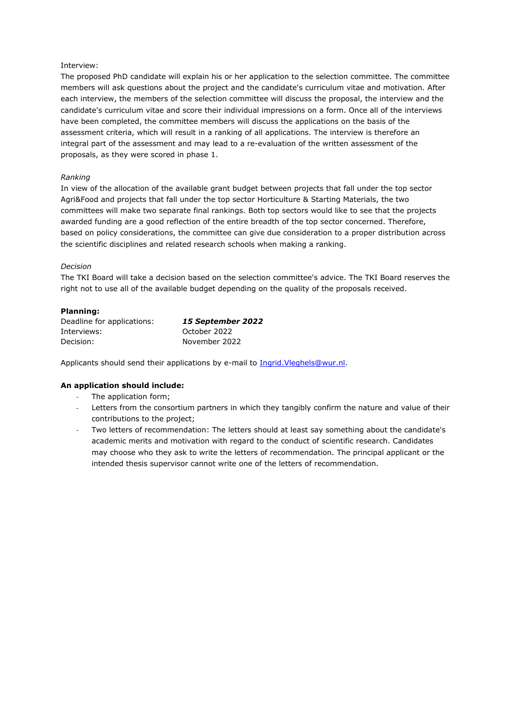## Interview:

The proposed PhD candidate will explain his or her application to the selection committee. The committee members will ask questions about the project and the candidate's curriculum vitae and motivation. After each interview, the members of the selection committee will discuss the proposal, the interview and the candidate's curriculum vitae and score their individual impressions on a form. Once all of the interviews have been completed, the committee members will discuss the applications on the basis of the assessment criteria, which will result in a ranking of all applications. The interview is therefore an integral part of the assessment and may lead to a re-evaluation of the written assessment of the proposals, as they were scored in phase 1.

# *Ranking*

In view of the allocation of the available grant budget between projects that fall under the top sector Agri&Food and projects that fall under the top sector Horticulture & Starting Materials, the two committees will make two separate final rankings. Both top sectors would like to see that the projects awarded funding are a good reflection of the entire breadth of the top sector concerned. Therefore, based on policy considerations, the committee can give due consideration to a proper distribution across the scientific disciplines and related research schools when making a ranking.

# *Decision*

The TKI Board will take a decision based on the selection committee's advice. The TKI Board reserves the right not to use all of the available budget depending on the quality of the proposals received.

# **Planning:**

| Deadline for applications: | <b>15 September 2022</b> |
|----------------------------|--------------------------|
| Interviews:                | October 2022             |
| Decision:                  | November 2022            |

Applicants should send their applications by e-mail to Ingrid. Vleghels@wur.nl.

# **An application should include:**

- The application form;
- Letters from the consortium partners in which they tangibly confirm the nature and value of their contributions to the project;
- Two letters of recommendation: The letters should at least say something about the candidate's academic merits and motivation with regard to the conduct of scientific research. Candidates may choose who they ask to write the letters of recommendation. The principal applicant or the intended thesis supervisor cannot write one of the letters of recommendation.